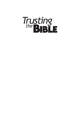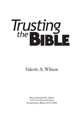# Trusting<br>the BIBLE

## Valerie A. Wilson

REGULAR BAPTIST PRESS 1300 North Meacham Road Schaumburg, Illinois 60173-4806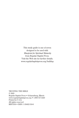This study guide is one of seven designed to be used with *Blueprint for Spiritual Maturity* from Regular Baptist Press*.* Visit the Web site for further details. www.regularbaptistpress.org/buildup

TRUSTING THE BIBLE © 2005 Regular Baptist Press • Schaumburg, Illinois www.regularbaptistpress.org • 1-800-727-4440 Printed in U.S.A. All rights reserved RBP5336 • ISBN: 1-59402-316-6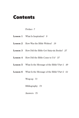# Contents

### Preface *7*

- **Lesson 1** What Is Inspiration? *9*
- **Lesson 2** How Was the Bible Written? *19*
- **Lesson 3** How Did the Bible Get Sixty-six Books? *27*
- **Lesson 4** How Did the Bible Come to Us? *37*
- **Lesson 5** What Is the Message of the Bible? Part 1 *49*
- **Lesson 6** What Is the Message of the Bible? Part 2 *61*

Wrap-up *71*

Bibliography *73*

Answers *75*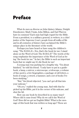# Preface

What do men as diverse as John Quincy Adams, Dwight Eisenhower, Mark Twain, John Milton, and Earl Warren have in common? Each man had high regard for the Bible. From a president, to a military general, to writers, to a chief justice of the Supreme Court, people from all walks of life and in all centuries of history have acclaimed the Bible's unique place in the literature of the world.

Perhaps you have heard or have sung the children's song, "The B-I-B-L-E—Yes, that's the book for me; I stand alone on the Word of God; The B-I-B-L-E!" The words of the song emphasize the importance of the Word of God as being "the book for me." In fact, the Bible is such an important book that we might say it's *the* Book for me!

A young man was packing for a lengthy trip. "I'm about finished," he told his friend. "I only have to put in a guidebook, a lamp, a mirror, a microscope, a telescope, a volume of fine poetry, a few biographies, a package of old letters, a book of songs, a sword, a hammer, and a set of books I've been studying."

"But," his friend objected, "you can't get all that into your suitcase."

"Oh yes," replied the young man. And with that he picked up his Bible, put it in the corner of his suitcase, and shut the lid.

How can one book be described in so many ways? Where did it come from? Why do we call it the Word of God? How did we get an English Bible? What is the message of this book that was written so long ago? These are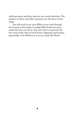valid questions, and they deserve our careful attention. The answers to these and other questions are the focus of this study.

You will need to use your Bible as you work through the lessons in this study. Locating Bible books becomes easier the more you do it. You may want to memorize the key verse at the start of each lesson. Approach each lesson prayerfully. God will bless you as you study His Word!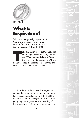

LESSON 1

# What Is Inspiration?

"All scripture is given by inspiration of God, and is profitable for doctrine, for reproof, for correction, for instruction in righteousness" (2 Timothy 3:16).

ake a moment to look at the Bible you are going to use as you study this lesson. What makes this book different from any other books you own? If you had to describe the Bible to someone who had never had one, what would you say?

In order to fully answer those questions, you need to understand the meaning of some basic words that relate not only to the Bible itself but also to how we got the Bible. Once you grasp the importance and meaning of these words, you will better understand this

9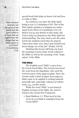*"Now we have received, not the spirit of the world, but the spirit which is of God; that we might know the things that are freely given to us of God" (1 Corinthians 2:12).*

special book that helps us know God and how to relate to Him.

As a believer, you have the Holy Spirit living in you (1 Corinthians 6:19). Part of the Holy Spirit's ministry is helping you understand God's Word (1 Corinthians 2:12–14). Before you go any farther in this study, ask God to help you depend on the Holy Spirit for understanding. You may want to use the same words the psalmist used when he prayed, "Open thou mine eyes, that I may behold wondrous things out of thy law" (Psalm 119:18).

Studying this lesson will help you learn the meaning of some basic words related to the Bible as well as the meaning of the "inspiration" of the Bible.

### THE BIBLE

The English word "bible" comes from the Greek word *biblos.* The Greeks borrowed the word from the Egyptians, who used the word for parts of the papyrus plant. Since the Greeks made a kind of paper from papyrus, *biblos* came to be applied to writing material generally and, especially, volumes of written work; e.g., scrolls, books.

While the word "bible" is not found in English versions of the Bible, the word is found in the Greek New Testament.

 1. Read Matthew 1:1. What word in that verse do you think is translated from the Greek *biblos*?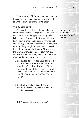### **Lesson 1–What Is Inspiration?**

Centuries ago Christians began to refer to this collection of sixty-six books as the Bible, and we continue to use the term today.

### THE SCRIPTURES

A second word that is often used in relation to the Bible is "Scriptures." The English word "scriptures" suggests "writing." The Bible is a *written* book. But the word "scripture" itself is not usually used to refer to just any writing; it almost always refers to *religious* writing. Many religions have their own scriptures; for example, the Book of Mormon and the Quran. We will soon see, however, that our Scriptures, the Bible, have a divine origin that no other scriptures can claim.

- 2. Read Luke 24:45. When Luke recorded that the risen Christ opened the understanding of the disciples so that "they might understand the scriptures," what part of the Bible do you think he meant: the Old Testament or the New Testament?
- 3. Read John 13:18, 17:2, and 19:24.
	- (a) What phrase is repeated in each of these verses?

(b) What does the phrase mean?

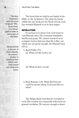*The New Testament uses the word "scripture" fi ftythree times. It is always used to refer to some part of the Bible.*

*REVELATION is the act of God whereby He communicates to mankind that which mankind would not otherwise know.*

The book that we hold in our hands is the Bible, or the Scriptures. The sixty-six books within the one book are the Word of God. God has *revealed* Himself to us in their pages.

### REVELATION

If a person is to know God, God must reveal Himself, since He is beyond mankind's intellectual grasp. We cannot research or investigate God to find out what He is like; our minds are not great enough. He Himself must  $t$ ell  $11s$ 

4. Read Psalm 19:1.

(a) What reveals God to us?

(b) What do they reveal?

 5. Read Romans 1:20. What did Paul say could be known about God from His creation?

The things about God that are revealed to us by His creation are commonly referred to as *general* revelation. We can see enough to know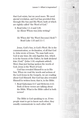that God exists, but we need more. We need *special* revelation, and God has provided this through His Son and His Word, both of which are rightly called "the Word of God."

- 6. Read John 1:1–4 and 5:26. (a) About Whom was John writing?
	- (b) When did "the Word [become] flesh"? Read Luke 1:35 and 2:1–7.

Jesus, God's Son, is God's Word. He is the communication, or declaration, of all that God is. John wrote of Jesus, "No man hath seen God at any time; *the only begotten Son,* which is in the bosom of the Father, he *hath declared him [God]*" (John 1:18; emphasis added). More than just having spoken the words of God, Jesus *is* the Word of God.

God has revealed Himself to us in His Son. When we read the words and actions of the Lord Jesus in the Gospels, we are reading about God Himself. But God has also revealed Himself in written form; that is, in the Bible.

 7. Read Ephesians 6:17 and Hebrews 4:12. Both of these verses are talking about the Bible. What is the Bible called in both verses?

The Bible is God speaking to us. If two people want to get to know each other, they usually communicate to each other with

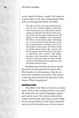

words (speech, letters, e-mail). God wants us to know Him. So He has communicated Himself to us through His Word, the Bible.

He tells us of his own past achievements, how he has created, judged, redeemed, raised up men to serve him, and created a people for himself. He tells us of his present work: how he orders and governs all things for the fulfilling of his purposes. He tells us of his future plans, sketching for us in mysterious but glowing terms the coming climax of history and the final destiny of his people. He tells us what he thinks about human life, and the different ways in which men live it. He gives us directions and counsel, and makes promises and announces warnings. He teaches us his own scale of values, detailing for us the things that he approves and the things that he hates. 1

Realizing that God has chosen to reveal Himself to us through His Son and in His Word leads us to the question, How do we know the revelation is accurate? The answer to that question answers the question of this lesson, What is inspiration?

### INSPIRATION

The Bible is the Word of God. It is a divine book. Yet it is also a human book. It was, after all, written by men and in languages spoken and read by men. The writers reflected the cultures of their day. How, then, can the Bible be the eternal Word of God? Some extraordinary act of God would seem to be necessary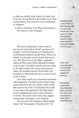to allow an earthly book written by finite men to be the eternal Word of the infinite God. That extraordinary act is known as the *inspiration* of Scripture.

 8. Read 2 Timothy 3:16. What was inspired: the writers or the writings?

The word "inspiration" is the result of two Greek words: *theos* ("God") and *pneu* ("to breath"). God had Paul say in 2 Timothy that God Himself breathed out His Word. When you exhale, you breathe out the breath that was in you. The Word of God, the Bible, originated with God Who, from within Himself, breathed it out to man. God didn't breathe *into* men (that is, He didn't inspire the writers themselves); rather, He breathed *out* the Word itself. God breathed out His truth; the men received it and wrote it down.

Four other words are commonly associated with inspiration. The first word is *verbal*. Inspiration extends to the very choice of the words that express the truth. God breathed the truth to men whom He appointed. The Holy Spirit, in turn, guided those men in their selection of words. The *words* of the text in the *original* manuscripts of Scripture were inspired.

The second word is *plenary,* which simply means "all." Read again 2 Timothy 3:16: "*All*

*INSPIRATION is the influence that God exerted on men who wrote the Scriptures to make the product exactly what God wanted it to be and to keep it from error.* 

*How men received and wrote God's Word is the subject of lesson 2.*

*Remember, inspiration describes the Bible and not the men who wrote down what God breathed out.*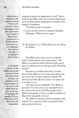*Inspiration is related to the original writing of the writer himself. It does not apply to all the copies that were made of those manuscripts nor to all the translations into various languages No original writings, or auto graphs, exist today.*

*A red-letter edition of the Bible may make a person think that the words of Jesus are somehow more inspired than all the rest of the Bible. Red letters serve only to highlight the words of Christ. They have nothing to do with inspiration.*

scripture is given by inspiration of God." Every book of the Bible and every word in that book were God-breathed. Inspiration extends to the totality of Scripture.

The third word is *inerrant.*

- 9. Look up this word in a standard English dictionary. What does it mean?
- 10. Read John 17:17. What did Jesus say about the Bible?

The Bible is free from error; it tells the truth. Charles Ryrie says of inerrancy, "The Bible is inerrant in that it tells the truth, and it does so without error in all parts and with all its words<sup>"2</sup>

Inerrancy is vitally important. If some parts of the Bible are accurate and others are not, how will we know which is which? We must accept that all of it is true—or none of it is of value to us.

The final word is *infallible*. The Bible is not only free from error, it is *incapable* of error. Just as the holy God Who inspired the Bible is incapable of error, so His revelation of Himself is incapable of error.

The Bible is not just a book to admire and defend. It is a perfect book, a practical book, and a powerful book.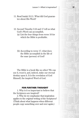*Lesson 1—What Is Inspiration?* 17

- 11. Read Isaiah 55:11. What did God guarantee about His Word?
- 12. Second Timothy 3:16 and 17 tell us what God's Word can accomplish.
	- (a) List the four things from verse 16 for which the Bible is profitable.
	- (b) According to verse 17, what does the Bible accomplish in the life of the man (person) of God?

The Bible is a book like no other! We can use it, trust it, and, indeed, stake our eternal destiny upon it. It is the revelation of God Himself, the inspired Word of God.

### FOR FURTHER THOUGHT

1. Why is it so important to believe that the Scriptures are inspired?

2. Why do we emphasize that inspiration applies to the *original* writing of the Scriptures? (Think about what happens when different people copy something over and over again.)